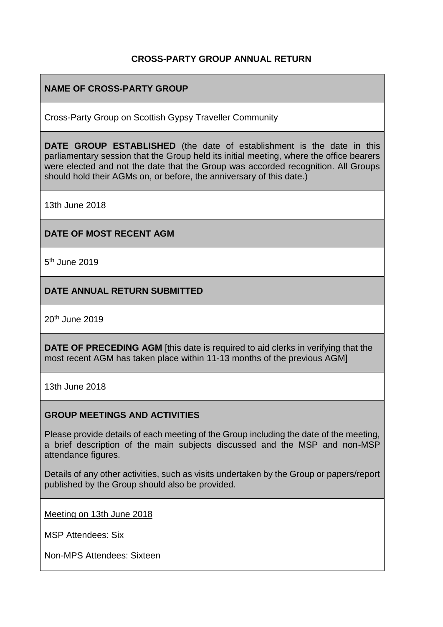### **CROSS-PARTY GROUP ANNUAL RETURN**

## **NAME OF CROSS-PARTY GROUP**

Cross-Party Group on Scottish Gypsy Traveller Community

**DATE GROUP ESTABLISHED** (the date of establishment is the date in this parliamentary session that the Group held its initial meeting, where the office bearers were elected and not the date that the Group was accorded recognition. All Groups should hold their AGMs on, or before, the anniversary of this date.)

13th June 2018

### **DATE OF MOST RECENT AGM**

5<sup>th</sup> June 2019

### **DATE ANNUAL RETURN SUBMITTED**

20th June 2019

**DATE OF PRECEDING AGM** [this date is required to aid clerks in verifying that the most recent AGM has taken place within 11-13 months of the previous AGM]

13th June 2018

#### **GROUP MEETINGS AND ACTIVITIES**

Please provide details of each meeting of the Group including the date of the meeting, a brief description of the main subjects discussed and the MSP and non-MSP attendance figures.

Details of any other activities, such as visits undertaken by the Group or papers/report published by the Group should also be provided.

Meeting on 13th June 2018

MSP Attendees: Six

Non-MPS Attendees: Sixteen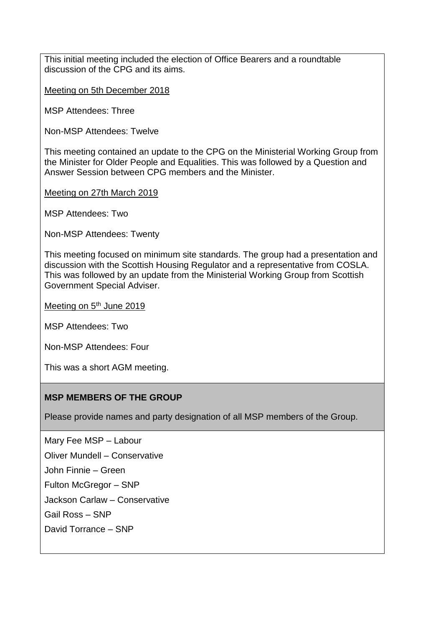This initial meeting included the election of Office Bearers and a roundtable discussion of the CPG and its aims.

Meeting on 5th December 2018

MSP Attendees: Three

Non-MSP Attendees: Twelve

This meeting contained an update to the CPG on the Ministerial Working Group from the Minister for Older People and Equalities. This was followed by a Question and Answer Session between CPG members and the Minister.

Meeting on 27th March 2019

MSP Attendees: Two

Non-MSP Attendees: Twenty

This meeting focused on minimum site standards. The group had a presentation and discussion with the Scottish Housing Regulator and a representative from COSLA. This was followed by an update from the Ministerial Working Group from Scottish Government Special Adviser.

Meeting on 5<sup>th</sup> June 2019

MSP Attendees: Two

Non-MSP Attendees: Four

This was a short AGM meeting.

#### **MSP MEMBERS OF THE GROUP**

Please provide names and party designation of all MSP members of the Group.

Mary Fee MSP – Labour Oliver Mundell – Conservative

John Finnie – Green

Fulton McGregor – SNP

Jackson Carlaw – Conservative

Gail Ross – SNP

David Torrance – SNP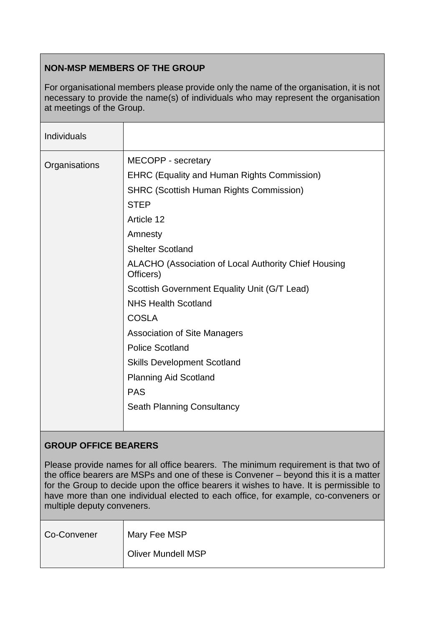# **NON-MSP MEMBERS OF THE GROUP**

For organisational members please provide only the name of the organisation, it is not necessary to provide the name(s) of individuals who may represent the organisation at meetings of the Group.

| <b>Individuals</b> |                                                                   |
|--------------------|-------------------------------------------------------------------|
| Organisations      | MECOPP - secretary                                                |
|                    | <b>EHRC (Equality and Human Rights Commission)</b>                |
|                    | <b>SHRC (Scottish Human Rights Commission)</b>                    |
|                    | <b>STEP</b>                                                       |
|                    | Article 12                                                        |
|                    | Amnesty                                                           |
|                    | <b>Shelter Scotland</b>                                           |
|                    | ALACHO (Association of Local Authority Chief Housing<br>Officers) |
|                    | Scottish Government Equality Unit (G/T Lead)                      |
|                    | <b>NHS Health Scotland</b>                                        |
|                    | <b>COSLA</b>                                                      |
|                    | <b>Association of Site Managers</b>                               |
|                    | <b>Police Scotland</b>                                            |
|                    | <b>Skills Development Scotland</b>                                |
|                    | <b>Planning Aid Scotland</b>                                      |
|                    | <b>PAS</b>                                                        |
|                    | <b>Seath Planning Consultancy</b>                                 |

## **GROUP OFFICE BEARERS**

Please provide names for all office bearers. The minimum requirement is that two of the office bearers are MSPs and one of these is Convener – beyond this it is a matter for the Group to decide upon the office bearers it wishes to have. It is permissible to have more than one individual elected to each office, for example, co-conveners or multiple deputy conveners.

| Co-Convener | Mary Fee MSP       |
|-------------|--------------------|
|             | Oliver Mundell MSP |